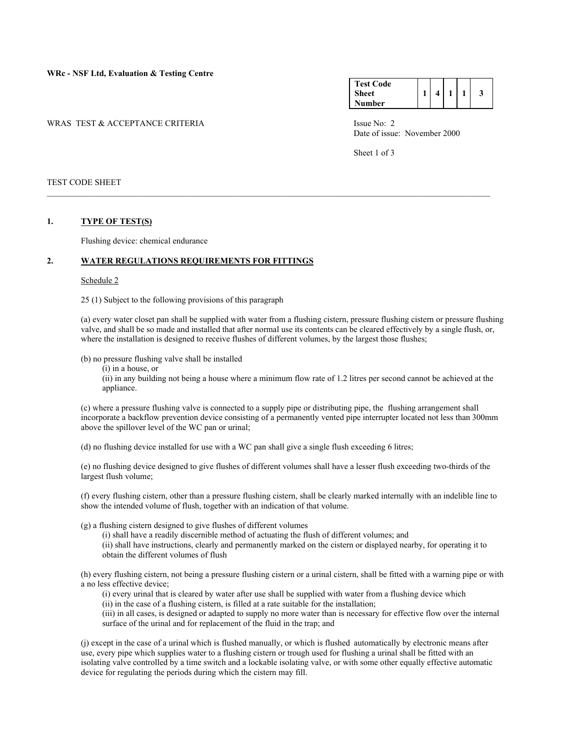## WRAS TEST & ACCEPTANCE CRITERIA ISSUE No: 2

| <b>Test Code</b> |  |  |   |
|------------------|--|--|---|
| <b>Sheet</b>     |  |  | 3 |
| <b>Number</b>    |  |  |   |

Date of issue: November 2000

Sheet 1 of 3

### TEST CODE SHEET

#### **1. TYPE OF TEST(S)**

Flushing device: chemical endurance

# **2. WATER REGULATIONS REQUIREMENTS FOR FITTINGS**

#### Schedule 2

25 (1) Subject to the following provisions of this paragraph

(a) every water closet pan shall be supplied with water from a flushing cistern, pressure flushing cistern or pressure flushing valve, and shall be so made and installed that after normal use its contents can be cleared effectively by a single flush, or, where the installation is designed to receive flushes of different volumes, by the largest those flushes;

 $\mathcal{L}_\text{max}$ 

(b) no pressure flushing valve shall be installed

(i) in a house, or

 (ii) in any building not being a house where a minimum flow rate of 1.2 litres per second cannot be achieved at the appliance.

 (c) where a pressure flushing valve is connected to a supply pipe or distributing pipe, the flushing arrangement shall incorporate a backflow prevention device consisting of a permanently vented pipe interrupter located not less than 300mm above the spillover level of the WC pan or urinal;

(d) no flushing device installed for use with a WC pan shall give a single flush exceeding 6 litres;

(e) no flushing device designed to give flushes of different volumes shall have a lesser flush exceeding two-thirds of the largest flush volume;

(f) every flushing cistern, other than a pressure flushing cistern, shall be clearly marked internally with an indelible line to show the intended volume of flush, together with an indication of that volume.

(g) a flushing cistern designed to give flushes of different volumes

(i) shall have a readily discernible method of actuating the flush of different volumes; and

 (ii) shall have instructions, clearly and permanently marked on the cistern or displayed nearby, for operating it to obtain the different volumes of flush

(h) every flushing cistern, not being a pressure flushing cistern or a urinal cistern, shall be fitted with a warning pipe or with a no less effective device;

(i) every urinal that is cleared by water after use shall be supplied with water from a flushing device which (ii) in the case of a flushing cistern, is filled at a rate suitable for the installation;

(iii) in all cases, is designed or adapted to supply no more water than is necessary for effective flow over the internal surface of the urinal and for replacement of the fluid in the trap; and

(j) except in the case of a urinal which is flushed manually, or which is flushed automatically by electronic means after use, every pipe which supplies water to a flushing cistern or trough used for flushing a urinal shall be fitted with an isolating valve controlled by a time switch and a lockable isolating valve, or with some other equally effective automatic device for regulating the periods during which the cistern may fill.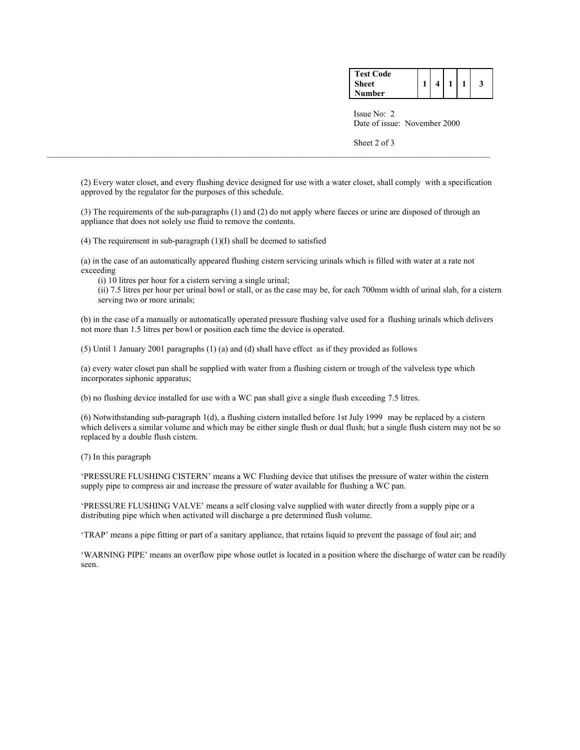| <b>Test Code</b> |  |  |  |
|------------------|--|--|--|
| Sheet            |  |  |  |
| Number           |  |  |  |

 Issue No: 2 Date of issue: November 2000

Sheet 2 of 3

(2) Every water closet, and every flushing device designed for use with a water closet, shall comply with a specification approved by the regulator for the purposes of this schedule.

 $\mathcal{L}_\text{max}$ 

(3) The requirements of the sub-paragraphs (1) and (2) do not apply where faeces or urine are disposed of through an appliance that does not solely use fluid to remove the contents.

(4) The requirement in sub-paragraph (1)(I) shall be deemed to satisfied

(a) in the case of an automatically appeared flushing cistern servicing urinals which is filled with water at a rate not exceeding

(i) 10 litres per hour for a cistern serving a single urinal;

 (ii) 7.5 litres per hour per urinal bowl or stall, or as the case may be, for each 700mm width of urinal slab, for a cistern serving two or more urinals;

(b) in the case of a manually or automatically operated pressure flushing valve used for a flushing urinals which delivers not more than 1.5 litres per bowl or position each time the device is operated.

(5) Until 1 January 2001 paragraphs (1) (a) and (d) shall have effect as if they provided as follows

(a) every water closet pan shall be supplied with water from a flushing cistern or trough of the valveless type which incorporates siphonic apparatus;

(b) no flushing device installed for use with a WC pan shall give a single flush exceeding 7.5 litres.

(6) Notwithstanding sub-paragraph 1(d), a flushing cistern installed before 1st July 1999 may be replaced by a cistern which delivers a similar volume and which may be either single flush or dual flush; but a single flush cistern may not be so replaced by a double flush cistern.

(7) In this paragraph

'PRESSURE FLUSHING CISTERN' means a WC Flushing device that utilises the pressure of water within the cistern supply pipe to compress air and increase the pressure of water available for flushing a WC pan.

'PRESSURE FLUSHING VALVE' means a self closing valve supplied with water directly from a supply pipe or a distributing pipe which when activated will discharge a pre determined flush volume.

'TRAP' means a pipe fitting or part of a sanitary appliance, that retains liquid to prevent the passage of foul air; and

'WARNING PIPE' means an overflow pipe whose outlet is located in a position where the discharge of water can be readily seen.